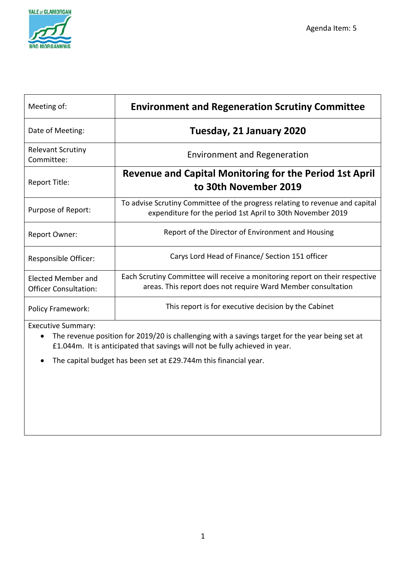

| Meeting of:                                               | <b>Environment and Regeneration Scrutiny Committee</b>                                                                                       |
|-----------------------------------------------------------|----------------------------------------------------------------------------------------------------------------------------------------------|
| Date of Meeting:                                          | Tuesday, 21 January 2020                                                                                                                     |
| <b>Relevant Scrutiny</b><br>Committee:                    | <b>Environment and Regeneration</b>                                                                                                          |
| Report Title:                                             | <b>Revenue and Capital Monitoring for the Period 1st April</b><br>to 30th November 2019                                                      |
| Purpose of Report:                                        | To advise Scrutiny Committee of the progress relating to revenue and capital<br>expenditure for the period 1st April to 30th November 2019   |
| Report Owner:                                             | Report of the Director of Environment and Housing                                                                                            |
| Responsible Officer:                                      | Carys Lord Head of Finance/ Section 151 officer                                                                                              |
| <b>Elected Member and</b><br><b>Officer Consultation:</b> | Each Scrutiny Committee will receive a monitoring report on their respective<br>areas. This report does not require Ward Member consultation |
| <b>Policy Framework:</b>                                  | This report is for executive decision by the Cabinet                                                                                         |

Executive Summary:

• The revenue position for 2019/20 is challenging with a savings target for the year being set at £1.044m. It is anticipated that savings will not be fully achieved in year.

• The capital budget has been set at £29.744m this financial year.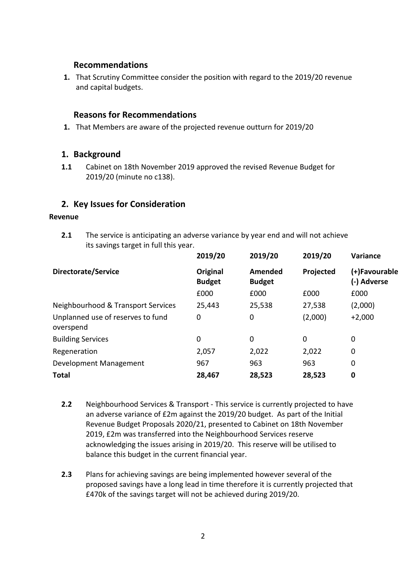## **Recommendations**

**1.** That Scrutiny Committee consider the position with regard to the 2019/20 revenue and capital budgets.

## **Reasons for Recommendations**

**1.** That Members are aware of the projected revenue outturn for 2019/20

## **1. Background**

**1.1** Cabinet on 18th November 2019 approved the revised Revenue Budget for 2019/20 (minute no c138).

## **2. Key Issues for Consideration**

### **Revenue**

**2.1** The service is anticipating an adverse variance by year end and will not achieve its savings target in full this year.

| 2019/20                   | 2019/20                  | 2019/20   | Variance                     |
|---------------------------|--------------------------|-----------|------------------------------|
| Original<br><b>Budget</b> | Amended<br><b>Budget</b> | Projected | (+)Favourable<br>(-) Adverse |
| £000                      | £000                     | £000      | £000                         |
| 25,443                    | 25,538                   | 27,538    | (2,000)                      |
| 0                         | 0                        | (2,000)   | $+2,000$                     |
| 0                         | 0                        | 0         | 0                            |
| 2,057                     | 2,022                    | 2,022     | 0                            |
| 967                       | 963                      | 963       | 0                            |
| 28,467                    | 28,523                   | 28,523    | $\bf{0}$                     |
|                           |                          |           |                              |

- **2.2** Neighbourhood Services & Transport This service is currently projected to have an adverse variance of £2m against the 2019/20 budget. As part of the Initial Revenue Budget Proposals 2020/21, presented to Cabinet on 18th November 2019, £2m was transferred into the Neighbourhood Services reserve acknowledging the issues arising in 2019/20. This reserve will be utilised to balance this budget in the current financial year.
- **2.3** Plans for achieving savings are being implemented however several of the proposed savings have a long lead in time therefore it is currently projected that £470k of the savings target will not be achieved during 2019/20.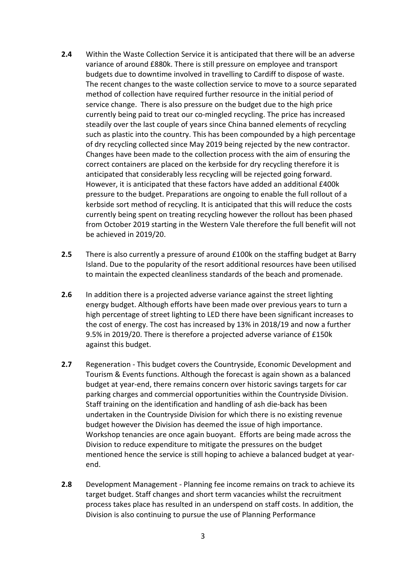- **2.4** Within the Waste Collection Service it is anticipated that there will be an adverse variance of around £880k. There is still pressure on employee and transport budgets due to downtime involved in travelling to Cardiff to dispose of waste. The recent changes to the waste collection service to move to a source separated method of collection have required further resource in the initial period of service change. There is also pressure on the budget due to the high price currently being paid to treat our co-mingled recycling. The price has increased steadily over the last couple of years since China banned elements of recycling such as plastic into the country. This has been compounded by a high percentage of dry recycling collected since May 2019 being rejected by the new contractor. Changes have been made to the collection process with the aim of ensuring the correct containers are placed on the kerbside for dry recycling therefore it is anticipated that considerably less recycling will be rejected going forward. However, it is anticipated that these factors have added an additional £400k pressure to the budget. Preparations are ongoing to enable the full rollout of a kerbside sort method of recycling. It is anticipated that this will reduce the costs currently being spent on treating recycling however the rollout has been phased from October 2019 starting in the Western Vale therefore the full benefit will not be achieved in 2019/20.
- **2.5** There is also currently a pressure of around £100k on the staffing budget at Barry Island. Due to the popularity of the resort additional resources have been utilised to maintain the expected cleanliness standards of the beach and promenade.
- **2.6** In addition there is a projected adverse variance against the street lighting energy budget. Although efforts have been made over previous years to turn a high percentage of street lighting to LED there have been significant increases to the cost of energy. The cost has increased by 13% in 2018/19 and now a further 9.5% in 2019/20. There is therefore a projected adverse variance of £150k against this budget.
- **2.7** Regeneration This budget covers the Countryside, Economic Development and Tourism & Events functions. Although the forecast is again shown as a balanced budget at year-end, there remains concern over historic savings targets for car parking charges and commercial opportunities within the Countryside Division. Staff training on the identification and handling of ash die-back has been undertaken in the Countryside Division for which there is no existing revenue budget however the Division has deemed the issue of high importance. Workshop tenancies are once again buoyant. Efforts are being made across the Division to reduce expenditure to mitigate the pressures on the budget mentioned hence the service is still hoping to achieve a balanced budget at yearend.
- **2.8** Development Management Planning fee income remains on track to achieve its target budget. Staff changes and short term vacancies whilst the recruitment process takes place has resulted in an underspend on staff costs. In addition, the Division is also continuing to pursue the use of Planning Performance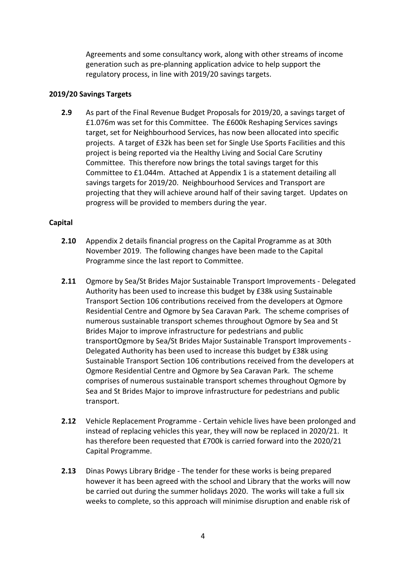Agreements and some consultancy work, along with other streams of income generation such as pre-planning application advice to help support the regulatory process, in line with 2019/20 savings targets.

## **2019/20 Savings Targets**

**2.9** As part of the Final Revenue Budget Proposals for 2019/20, a savings target of £1.076m was set for this Committee. The £600k Reshaping Services savings target, set for Neighbourhood Services, has now been allocated into specific projects. A target of £32k has been set for Single Use Sports Facilities and this project is being reported via the Healthy Living and Social Care Scrutiny Committee. This therefore now brings the total savings target for this Committee to £1.044m. Attached at Appendix 1 is a statement detailing all savings targets for 2019/20. Neighbourhood Services and Transport are projecting that they will achieve around half of their saving target. Updates on progress will be provided to members during the year.

## **Capital**

- **2.10** Appendix 2 details financial progress on the Capital Programme as at 30th November 2019. The following changes have been made to the Capital Programme since the last report to Committee.
- **2.11** Ogmore by Sea/St Brides Major Sustainable Transport Improvements Delegated Authority has been used to increase this budget by £38k using Sustainable Transport Section 106 contributions received from the developers at Ogmore Residential Centre and Ogmore by Sea Caravan Park. The scheme comprises of numerous sustainable transport schemes throughout Ogmore by Sea and St Brides Major to improve infrastructure for pedestrians and public transportOgmore by Sea/St Brides Major Sustainable Transport Improvements - Delegated Authority has been used to increase this budget by £38k using Sustainable Transport Section 106 contributions received from the developers at Ogmore Residential Centre and Ogmore by Sea Caravan Park. The scheme comprises of numerous sustainable transport schemes throughout Ogmore by Sea and St Brides Major to improve infrastructure for pedestrians and public transport.
- **2.12** Vehicle Replacement Programme Certain vehicle lives have been prolonged and instead of replacing vehicles this year, they will now be replaced in 2020/21. It has therefore been requested that £700k is carried forward into the 2020/21 Capital Programme.
- **2.13** Dinas Powys Library Bridge The tender for these works is being prepared however it has been agreed with the school and Library that the works will now be carried out during the summer holidays 2020. The works will take a full six weeks to complete, so this approach will minimise disruption and enable risk of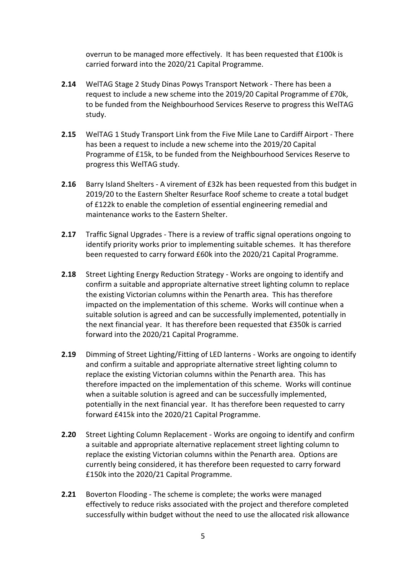overrun to be managed more effectively. It has been requested that £100k is carried forward into the 2020/21 Capital Programme.

- **2.14** WelTAG Stage 2 Study Dinas Powys Transport Network There has been a request to include a new scheme into the 2019/20 Capital Programme of £70k, to be funded from the Neighbourhood Services Reserve to progress this WelTAG study.
- **2.15** WelTAG 1 Study Transport Link from the Five Mile Lane to Cardiff Airport There has been a request to include a new scheme into the 2019/20 Capital Programme of £15k, to be funded from the Neighbourhood Services Reserve to progress this WelTAG study.
- **2.16** Barry Island Shelters A virement of £32k has been requested from this budget in 2019/20 to the Eastern Shelter Resurface Roof scheme to create a total budget of £122k to enable the completion of essential engineering remedial and maintenance works to the Eastern Shelter.
- **2.17** Traffic Signal Upgrades There is a review of traffic signal operations ongoing to identify priority works prior to implementing suitable schemes. It has therefore been requested to carry forward £60k into the 2020/21 Capital Programme.
- **2.18** Street Lighting Energy Reduction Strategy Works are ongoing to identify and confirm a suitable and appropriate alternative street lighting column to replace the existing Victorian columns within the Penarth area. This has therefore impacted on the implementation of this scheme. Works will continue when a suitable solution is agreed and can be successfully implemented, potentially in the next financial year. It has therefore been requested that £350k is carried forward into the 2020/21 Capital Programme.
- **2.19** Dimming of Street Lighting/Fitting of LED lanterns Works are ongoing to identify and confirm a suitable and appropriate alternative street lighting column to replace the existing Victorian columns within the Penarth area. This has therefore impacted on the implementation of this scheme. Works will continue when a suitable solution is agreed and can be successfully implemented, potentially in the next financial year. It has therefore been requested to carry forward £415k into the 2020/21 Capital Programme.
- **2.20** Street Lighting Column Replacement Works are ongoing to identify and confirm a suitable and appropriate alternative replacement street lighting column to replace the existing Victorian columns within the Penarth area. Options are currently being considered, it has therefore been requested to carry forward £150k into the 2020/21 Capital Programme.
- **2.21** Boverton Flooding The scheme is complete; the works were managed effectively to reduce risks associated with the project and therefore completed successfully within budget without the need to use the allocated risk allowance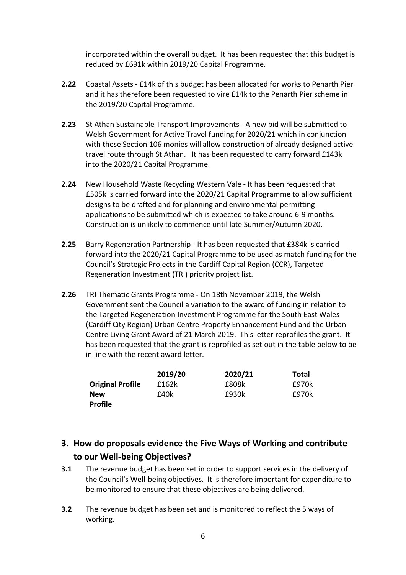incorporated within the overall budget. It has been requested that this budget is reduced by £691k within 2019/20 Capital Programme.

- **2.22** Coastal Assets £14k of this budget has been allocated for works to Penarth Pier and it has therefore been requested to vire £14k to the Penarth Pier scheme in the 2019/20 Capital Programme.
- **2.23** St Athan Sustainable Transport Improvements A new bid will be submitted to Welsh Government for Active Travel funding for 2020/21 which in conjunction with these Section 106 monies will allow construction of already designed active travel route through St Athan. It has been requested to carry forward £143k into the 2020/21 Capital Programme.
- **2.24** New Household Waste Recycling Western Vale It has been requested that £505k is carried forward into the 2020/21 Capital Programme to allow sufficient designs to be drafted and for planning and environmental permitting applications to be submitted which is expected to take around 6-9 months. Construction is unlikely to commence until late Summer/Autumn 2020.
- **2.25** Barry Regeneration Partnership It has been requested that £384k is carried forward into the 2020/21 Capital Programme to be used as match funding for the Council's Strategic Projects in the Cardiff Capital Region (CCR), Targeted Regeneration Investment (TRI) priority project list.
- **2.26** TRI Thematic Grants Programme On 18th November 2019, the Welsh Government sent the Council a variation to the award of funding in relation to the Targeted Regeneration Investment Programme for the South East Wales (Cardiff City Region) Urban Centre Property Enhancement Fund and the Urban Centre Living Grant Award of 21 March 2019. This letter reprofiles the grant. It has been requested that the grant is reprofiled as set out in the table below to be in line with the recent award letter.

|                         | 2019/20 | 2020/21 | Total |
|-------------------------|---------|---------|-------|
| <b>Original Profile</b> | £162k   | £808k   | £970k |
| <b>New</b>              | £40k    | £930k   | £970k |
| <b>Profile</b>          |         |         |       |

# **3. How do proposals evidence the Five Ways of Working and contribute to our Well-being Objectives?**

- **3.1** The revenue budget has been set in order to support services in the delivery of the Council's Well-being objectives. It is therefore important for expenditure to be monitored to ensure that these objectives are being delivered.
- **3.2** The revenue budget has been set and is monitored to reflect the 5 ways of working.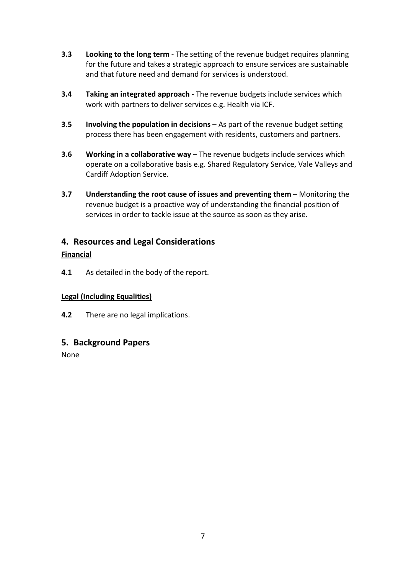- **3.3 Looking to the long term** The setting of the revenue budget requires planning for the future and takes a strategic approach to ensure services are sustainable and that future need and demand for services is understood.
- **3.4 Taking an integrated approach** The revenue budgets include services which work with partners to deliver services e.g. Health via ICF.
- **3.5 Involving the population in decisions** As part of the revenue budget setting process there has been engagement with residents, customers and partners.
- **3.6 Working in a collaborative way** The revenue budgets include services which operate on a collaborative basis e.g. Shared Regulatory Service, Vale Valleys and Cardiff Adoption Service.
- **3.7 Understanding the root cause of issues and preventing them** Monitoring the revenue budget is a proactive way of understanding the financial position of services in order to tackle issue at the source as soon as they arise.

# **4. Resources and Legal Considerations**

## **Financial**

**4.1** As detailed in the body of the report.

# **Legal (Including Equalities)**

**4.2** There are no legal implications.

# **5. Background Papers**

None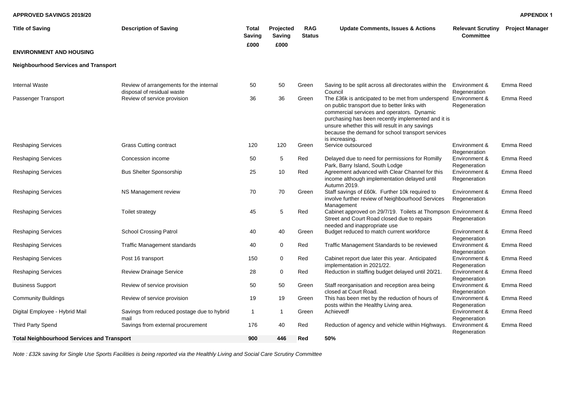### **APPROVED SAVINGS 2019/20**

| <b>Title of Saving</b>                      | <b>Description of Saving</b>                                          | Total<br><b>Saving</b> | Projected<br>Saving | <b>RAG</b><br><b>Status</b> | <b>Update Comments, Issues &amp; Actions</b>                                                                                                                                                                                                                                                                                  | <b>Relevant Scrutiny</b><br><b>Committee</b> | <b>Project Manager</b> |
|---------------------------------------------|-----------------------------------------------------------------------|------------------------|---------------------|-----------------------------|-------------------------------------------------------------------------------------------------------------------------------------------------------------------------------------------------------------------------------------------------------------------------------------------------------------------------------|----------------------------------------------|------------------------|
| <b>ENVIRONMENT AND HOUSING</b>              |                                                                       | £000                   | £000                |                             |                                                                                                                                                                                                                                                                                                                               |                                              |                        |
| <b>Neighbourhood Services and Transport</b> |                                                                       |                        |                     |                             |                                                                                                                                                                                                                                                                                                                               |                                              |                        |
| <b>Internal Waste</b>                       | Review of arrangements for the internal<br>disposal of residual waste | 50                     | 50                  | Green                       | Saving to be split across all directorates within the<br>Council                                                                                                                                                                                                                                                              | Environment &<br>Regeneration                | Emma Reed              |
| Passenger Transport                         | Review of service provision                                           | 36                     | 36                  | Green                       | The £36k is anticipated to be met from underspend<br>on public transport due to better links with<br>commercial services and operators. Dynamic<br>purchasing has been recently implemented and it is<br>unsure whether this will result in any savings<br>because the demand for school transport services<br>is increasing. | Environment &<br>Regeneration                | Emma Reed              |
| Reshaping Services                          | <b>Grass Cutting contract</b>                                         | 120                    | 120                 | Green                       | Service outsourced                                                                                                                                                                                                                                                                                                            | Environment &<br>Regeneration                | Emma Reed              |
| <b>Reshaping Services</b>                   | Concession income                                                     | 50                     | 5                   | Red                         | Delayed due to need for permissions for Romilly<br>Park, Barry Island, South Lodge                                                                                                                                                                                                                                            | Environment &<br>Regeneration                | Emma Reed              |
| <b>Reshaping Services</b>                   | <b>Bus Shelter Sponsorship</b>                                        | 25                     | 10                  | Red                         | Agreement advanced with Clear Channel for this<br>income although implementation delayed until<br>Autumn 2019.                                                                                                                                                                                                                | Environment &<br>Regeneration                | Emma Reed              |
| <b>Reshaping Services</b>                   | NS Management review                                                  | 70                     | 70                  | Green                       | Staff savings of £60k. Further 10k required to<br>involve further review of Neighbourhood Services<br>Management                                                                                                                                                                                                              | Environment &<br>Regeneration                | Emma Reed              |
| <b>Reshaping Services</b>                   | Toilet strategy                                                       | 45                     | 5                   | Red                         | Cabinet approved on 29/7/19. Toilets at Thompson Environment &<br>Street and Court Road closed due to repairs<br>needed and inappropriate use                                                                                                                                                                                 | Regeneration                                 | Emma Reed              |
| <b>Reshaping Services</b>                   | <b>School Crossing Patrol</b>                                         | 40                     | 40                  | Green                       | Budget reduced to match current workforce                                                                                                                                                                                                                                                                                     | Environment &<br>Regeneration                | Emma Reed              |
| <b>Reshaping Services</b>                   | Traffic Management standards                                          | 40                     | 0                   | Red                         | Traffic Management Standards to be reviewed                                                                                                                                                                                                                                                                                   | Environment &<br>Regeneration                | Emma Reed              |
| <b>Reshaping Services</b>                   | Post 16 transport                                                     | 150                    | 0                   | Red                         | Cabinet report due later this year. Anticipated<br>implementation in 2021/22.                                                                                                                                                                                                                                                 | Environment &<br>Regeneration                | Emma Reed              |
| <b>Reshaping Services</b>                   | <b>Review Drainage Service</b>                                        | 28                     | 0                   | Red                         | Reduction in staffing budget delayed until 20/21.                                                                                                                                                                                                                                                                             | Environment &<br>Regeneration                | Emma Reed              |
| <b>Business Support</b>                     | Review of service provision                                           | 50                     | 50                  | Green                       | Staff reorganisation and reception area being<br>closed at Court Road.                                                                                                                                                                                                                                                        | Environment &<br>Regeneration                | Emma Reed              |
| <b>Community Buildings</b>                  | Review of service provision                                           | 19                     | 19                  | Green                       | This has been met by the reduction of hours of<br>posts within the Healthy Living area.                                                                                                                                                                                                                                       | Environment &<br>Regeneration                | Emma Reed              |
| Digital Employee - Hybrid Mail              | Savings from reduced postage due to hybrid<br>mail                    | $\mathbf{1}$           | $\mathbf 1$         | Green                       | Achievedf                                                                                                                                                                                                                                                                                                                     | Environment &<br>Regeneration                | Emma Reed              |
| Third Party Spend                           | Savings from external procurement                                     | 176                    | 40                  | Red                         | Reduction of agency and vehicle within Highways.                                                                                                                                                                                                                                                                              | Environment &<br>Regeneration                | Emma Reed              |
| Total Neighbourhood Services and Transport  |                                                                       | 900                    | 446                 | Red                         | 50%                                                                                                                                                                                                                                                                                                                           |                                              |                        |

*Note : £32k saving for Single Use Sports Facilities is being reported via the Healthly Living and Social Care Scrutiny Committee*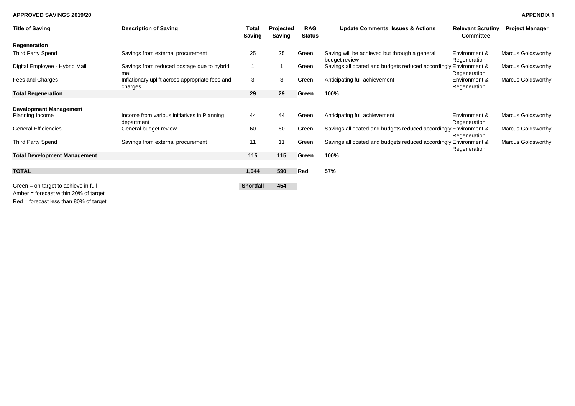#### **APPROVED SAVINGS 2019/20**

| <b>APPENDIX 1</b> |  |
|-------------------|--|
|-------------------|--|

| <b>Title of Saving</b>                           | <b>Description of Saving</b>                               | <b>Total</b><br>Saving | Projected<br>Saving | <b>RAG</b><br><b>Status</b> | <b>Update Comments, Issues &amp; Actions</b>                     | <b>Relevant Scrutiny</b><br><b>Committee</b> | <b>Project Manager</b>    |
|--------------------------------------------------|------------------------------------------------------------|------------------------|---------------------|-----------------------------|------------------------------------------------------------------|----------------------------------------------|---------------------------|
| Regeneration                                     |                                                            |                        |                     |                             |                                                                  |                                              |                           |
| Third Party Spend                                | Savings from external procurement                          | 25                     | 25                  | Green                       | Saving will be achieved but through a general<br>budget review   | Environment &<br>Regeneration                | <b>Marcus Goldsworthy</b> |
| Digital Employee - Hybrid Mail                   | Savings from reduced postage due to hybrid<br>mail         |                        |                     | Green                       | Savings allocated and budgets reduced accordingly Environment &  | Regeneration                                 | <b>Marcus Goldsworthy</b> |
| Fees and Charges                                 | Inflationary uplift across appropriate fees and<br>charges | 3                      | 3                   | Green                       | Anticipating full achievement                                    | Environment &<br>Regeneration                | Marcus Goldsworthy        |
| <b>Total Regeneration</b>                        |                                                            | 29                     | 29                  | Green                       | 100%                                                             |                                              |                           |
| <b>Development Management</b><br>Planning Income | Income from various initiatives in Planning                | 44                     | 44                  | Green                       | Anticipating full achievement                                    | Environment &                                | <b>Marcus Goldsworthy</b> |
|                                                  | department                                                 |                        |                     |                             |                                                                  | Regeneration                                 |                           |
| <b>General Efficiencies</b>                      | General budget review                                      | 60                     | 60                  | Green                       | Savings alllocated and budgets reduced accordingly Environment & | Regeneration                                 | <b>Marcus Goldsworthy</b> |
| Third Party Spend                                | Savings from external procurement                          | 11                     | 11                  | Green                       | Savings allocated and budgets reduced accordingly Environment &  | Regeneration                                 | Marcus Goldsworthy        |
| <b>Total Development Management</b>              |                                                            | 115                    | 115                 | Green                       | 100%                                                             |                                              |                           |
| <b>TOTAL</b>                                     |                                                            | 1,044                  | 590                 | Red                         | 57%                                                              |                                              |                           |
| Green $=$ on target to achieve in full           |                                                            | <b>Shortfall</b>       | 454                 |                             |                                                                  |                                              |                           |
| Amber = forecast within 20% of target            |                                                            |                        |                     |                             |                                                                  |                                              |                           |

Red = forecast less than 80% of target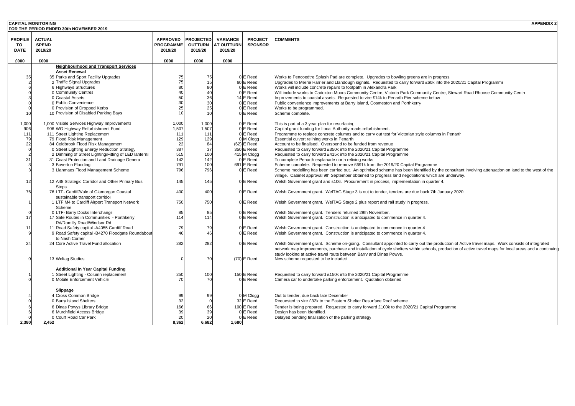| <b>CAPITAL MONITORING</b> |               |                                                             |                  |                  |                   |                           | <b>APPENDIX 2</b>                                                                                                                                       |
|---------------------------|---------------|-------------------------------------------------------------|------------------|------------------|-------------------|---------------------------|---------------------------------------------------------------------------------------------------------------------------------------------------------|
|                           |               | FOR THE PERIOD ENDED 30th NOVEMBER 2019                     |                  |                  |                   |                           |                                                                                                                                                         |
|                           |               |                                                             |                  |                  |                   |                           |                                                                                                                                                         |
| <b>PROFILE</b>            | <b>ACTUAL</b> |                                                             | <b>APPROVED</b>  | <b>PROJECTED</b> | <b>VARIANCE</b>   | <b>PROJECT</b>            | <b>COMMENTS</b>                                                                                                                                         |
| TO                        | <b>SPEND</b>  |                                                             | <b>PROGRAMME</b> | <b>OUTTURN</b>   | <b>AT OUTTURN</b> | <b>SPONSOR</b>            |                                                                                                                                                         |
| <b>DATE</b>               | 2019/20       |                                                             | 2019/20          | 2019/20          | 2019/20           |                           |                                                                                                                                                         |
| £000                      | £000          |                                                             | £000             | £000             | £000              |                           |                                                                                                                                                         |
|                           |               | <b>Neighbourhood and Transport Services</b>                 |                  |                  |                   |                           |                                                                                                                                                         |
|                           |               | <b>Asset Renewal</b>                                        |                  |                  |                   |                           |                                                                                                                                                         |
| 35                        |               | 35 Parks and Sport Facility Upgrades                        | 75               | 75               |                   | 0 E Reed                  | Works to Pencoedtre Splash Pad are complete. Upgrades to bowling greens are in progress.                                                                |
|                           |               | 2 Traffic Signal Upgrades                                   | 75               | 15               |                   | 60 E Reed                 | Upgrades to Merrie Harrier and Llandough signals. Requested to carry forward £60k into the 2020/21 Capital Programme                                    |
|                           |               | 6 Highways Structures                                       | 80               | 80               |                   | 0E Reed                   | Works will include concrete repairs to footpath in Alexandra Park                                                                                       |
|                           |               | 0 Community Centres                                         | 4(               | 40               |                   | 0 E Reed                  | Will include works to Cadoxton Moors Community Centre, Victoria Park Community Centre, Stewart Road Rhoose Community Centre                             |
|                           |               | 0 Coastal Assets                                            | 50               | 36               |                   | 14 E Reed                 | Improvements to coastal assets. Requested to vire £14k to Penarth Pier scheme below                                                                     |
|                           |               | 0 Public Convenience                                        | 3 <sub>C</sub>   | 30               |                   | 0 E Reed                  | Public convenience improvements at Barry Island, Cosmeston and Porthkerry                                                                               |
|                           |               | 0 Provision of Dropped Kerbs                                | 25               | 25               |                   | 0E Reed                   | Works to be programmed.                                                                                                                                 |
| 10                        |               | 10 Provision of Disabled Parking Bays                       | 1 <sub>1</sub>   | 10               |                   | 0 E Reed                  | Scheme complete.                                                                                                                                        |
|                           |               |                                                             |                  |                  |                   |                           |                                                                                                                                                         |
| 1,000                     |               | 1,000 Visible Services Highway Improvements                 | 1,000            | 1,000            |                   | 0 E Reed                  | This is part of a 3 year plan for resurfacing                                                                                                           |
| 906                       |               | 906 WG Highway Refurbishment Fund                           | 1,507            | 1,507            |                   | 0 E Reed                  | Capital grant funding for Local Authority roads refurbishment.                                                                                          |
| 111                       |               | 111 Street Lighting Replacement<br>79 Flood Risk Management | 111              | 111              |                   | 0 E Reed                  | Programme to replace concrete columns and to carry out test for Victorian style columns in Penarth                                                      |
| 79<br>22                  |               | 84 Coldbrook Flood Risk Management                          | 129<br>22        | 129              |                   | 0 M Clogg                 | Essential culvert relining works in Penarth                                                                                                             |
| $\sqrt{ }$                |               | Street Lighting Energy Reduction Strategy                   | 387              | 84<br>37         |                   | (62) E Reed<br>350 E Reed | Account to be finalised. Overspend to be funded from revenue<br>Requested to carry forward £350k into the 2020/21 Capital Programme                     |
|                           |               | 2 Dimming of Street Lighting/Fitting of LED lanterns        | 515              | 100              |                   | 415 M Clogg               | Requested to carry forward £415k into the 2020/21 Capital Programme                                                                                     |
| 31                        |               | 31 Coast Protection and Land Drainage Genera                | 142              | 142              |                   | 0 E Reed                  | To complete Penarth esplanade north relining works                                                                                                      |
|                           |               | 3 Boverton Flooding                                         | 791              | 100              |                   | 691 E Reed                | Scheme complete. Requested to remove £691k from the 2019/20 Capital Programme                                                                           |
|                           |               | 3 Llanmaes Flood Management Scheme                          | 796              | 796              |                   | 0 E Reed                  | Scheme modelling has been carried out. An optimised scheme has been identified by the consultant involving attenuation on land to the west of the       |
|                           |               |                                                             |                  |                  |                   |                           | village. Cabinet approval 9th September obtained to progress land negotiations which are underway.                                                      |
| 12                        |               | 12 A48 Strategic Corridor and Other Primary Bus             | 145              | 145              |                   | 0 E Reed                  | Welsh Government grant and s106. Procurement in process, implementation in quarter 4.                                                                   |
|                           |               | Stops                                                       |                  |                  |                   |                           |                                                                                                                                                         |
| 76                        |               | 76 LTF- Cardiff/Vale of Glamorgan Coastal                   | 400              | 400              |                   | 0 E Reed                  | Welsh Government grant. WeITAG Stage 3 is out to tender, tenders are due back 7th January 2020.                                                         |
|                           |               | sustainable transport corridor                              |                  |                  |                   |                           |                                                                                                                                                         |
|                           |               | 1 LTF M4 to Cardiff Airport Transport Network               | 750              | 750              |                   | 0 E Reed                  | Welsh Government grant. WeITAG Stage 2 plus report and rail study in progress.                                                                          |
|                           |               | Scheme                                                      |                  |                  |                   |                           |                                                                                                                                                         |
|                           |               | 0 LTF- Barry Docks Interchange                              | 85               | 85               |                   | 0 E Reed                  | Welsh Government grant. Tenders returned 29th November.                                                                                                 |
| 17                        |               | 17 Safe Routes in Communities - Porthkerry                  | 114              | 114              |                   | 0 E Reed                  | Welsh Government grant. Construction is anticipated to commence in quarter 4.                                                                           |
|                           |               | Rd/Romilly Road/Windsor Rd                                  |                  |                  |                   |                           |                                                                                                                                                         |
| 11                        |               | 11 Road Safety capital -A4055 Cardiff Road                  | 79               | 79               |                   | 0 E Reed                  | Welsh Government grant. Construction is anticipated to commence in quarter 4                                                                            |
|                           |               | 9 Road Safety capital -B4270 Floodgate Roundabout           | 46               | 46               |                   | 0 E Reed                  | Welsh Government grant. Construction is anticipated to commence in quarter 4.                                                                           |
|                           |               | to Nash Corner                                              |                  |                  |                   |                           |                                                                                                                                                         |
| 24                        |               | 24 Core Active Travel Fund allocation                       | 282              | 282              |                   | 0 E Reed                  | Welsh Government grant. Scheme on-going. Consultant appointed to carry out the production of Active travel maps. Work consists of integrated            |
|                           |               |                                                             |                  |                  |                   |                           | network map improvements, purchase and installation of cycle shelters within schools, production of active travel maps for local areas and a continuing |
|                           |               | 13 Weltag Studies                                           |                  | 70               |                   | $(70)$ E Reed             | study looking at active travel route between Barry and Dinas Powys.<br>New scheme requested to be included                                              |
|                           |               |                                                             |                  |                  |                   |                           |                                                                                                                                                         |
|                           |               | <b>Additional In Year Capital Funding</b>                   |                  |                  |                   |                           |                                                                                                                                                         |
|                           |               | Street Lighting - Column replacemen                         | 250              | 100              |                   | 150 E Reed                | Requested to carry forward £150k into the 2020/21 Capital Programme                                                                                     |
|                           |               | 0 Mobile Enforcement Vehicle                                | 70               | 70               |                   | 0 E Reed                  | Camera car to undertake parking enforcement. Quotation obtained                                                                                         |
|                           |               |                                                             |                  |                  |                   |                           |                                                                                                                                                         |
|                           |               | Slippage                                                    |                  |                  |                   |                           |                                                                                                                                                         |
|                           |               | 4 Cross Common Bridge                                       | 99               | 99               |                   | 0 M Clogg                 | Out to tender, due back late December                                                                                                                   |
|                           |               | 0 Barry Island Shelters                                     | 32               |                  |                   | 32 E Reed                 | Requested to vire £32k to the Eastern Shelter Resurface Roof scheme                                                                                     |
|                           |               | 6 Dinas Powys Library Bridge                                | 166              | 66               |                   | 100 E Reed                | Tender is being prepared. Requested to carry forward £100k to the 2020/21 Capital Programme                                                             |
|                           |               | 6 Murchfield Access Bridge                                  | 39               | 39               |                   | 0 E Reed                  | Design has been identified.                                                                                                                             |
|                           |               | 0 Court Road Car Park                                       | 20               | 20               |                   | 0 E Reed                  | Delayed pending finalisation of the parking strategy                                                                                                    |
| 2,380                     | 2.452         |                                                             | 8.362            | 6,682            | 1,680             |                           |                                                                                                                                                         |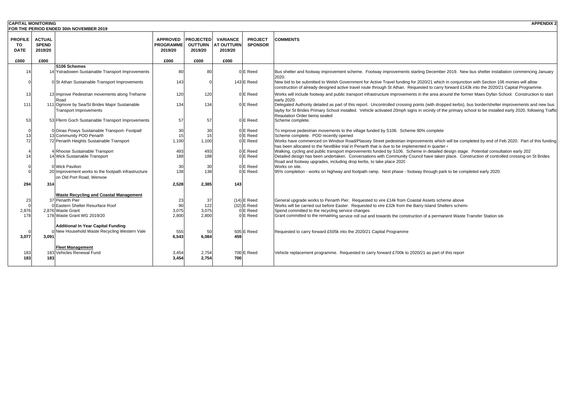| <b>CAPITAL MONITORING</b>           |                                          | FOR THE PERIOD ENDED 30th NOVEMBER 2019                                                                                                                 |                                                |                                               |                                                 |                                                        | <b>APPENDIX 2</b>                                                                                                                                                                                                                                                                                                                                                                                                                                                      |
|-------------------------------------|------------------------------------------|---------------------------------------------------------------------------------------------------------------------------------------------------------|------------------------------------------------|-----------------------------------------------|-------------------------------------------------|--------------------------------------------------------|------------------------------------------------------------------------------------------------------------------------------------------------------------------------------------------------------------------------------------------------------------------------------------------------------------------------------------------------------------------------------------------------------------------------------------------------------------------------|
| <b>PROFILE</b><br>то<br><b>DATE</b> | <b>ACTUAL</b><br><b>SPEND</b><br>2019/20 |                                                                                                                                                         | <b>APPROVED</b><br><b>PROGRAMME</b><br>2019/20 | <b>PROJECTED</b><br><b>OUTTURN</b><br>2019/20 | <b>VARIANCE</b><br><b>AT OUTTURN</b><br>2019/20 | <b>PROJECT</b><br><b>SPONSOR</b>                       | <b>COMMENTS</b>                                                                                                                                                                                                                                                                                                                                                                                                                                                        |
| £000                                | £000                                     |                                                                                                                                                         | £000                                           | £000                                          | £000                                            |                                                        |                                                                                                                                                                                                                                                                                                                                                                                                                                                                        |
| 14                                  |                                          | S106 Schemes<br>14 Ystradowen Sustainable Transport Improvements                                                                                        | 80                                             | 80                                            |                                                 | 0 E Reed                                               | Bus shelter and footway improvement scheme. Footway improvements starting December 2019. New bus shelter installation commencing January<br>2020                                                                                                                                                                                                                                                                                                                       |
|                                     |                                          | 0 St Athan Sustainable Transport Improvements                                                                                                           | 143                                            |                                               |                                                 | 143 E Reed                                             | New bid to be submitted to Welsh Government for Active Travel funding for 2020/21 which in conjunction with Section 106 monies will allow<br>construction of already designed active travel route through St Athan. Requested to carry forward £143k into the 2020/21 Capital Programme.                                                                                                                                                                               |
| 13                                  |                                          | 13 Improve Pedestrian movements along Treharne<br>Road                                                                                                  | 120                                            | 120                                           |                                                 | 0 E Reed                                               | Works will include footway and public transport infrastructure improvements in the area around the former Maes Dyfan School. Construction to start<br>early 2020.                                                                                                                                                                                                                                                                                                      |
| 111                                 |                                          | 111 Ogmore by Sea/St Brides Major Sustainable<br><b>Transport Improvements</b>                                                                          | 134                                            | 134                                           |                                                 | 0 E Reed                                               | Delegated Authority detailed as part of this report. Uncontrolled crossing points (with dropped kerbs), bus border/shelter improvements and new bus<br>layby for St Brides Primary School installed. Vehicle activated 20mph signs in vicinity of the primary school to be installed early 2020, following Traffic<br>Regulation Order being sealed                                                                                                                    |
| 53                                  |                                          | 53 Fferm Goch Sustainable Transport Improvements                                                                                                        | 57                                             | 57                                            |                                                 | 0 E Reed                                               | Scheme complete.                                                                                                                                                                                                                                                                                                                                                                                                                                                       |
| 13<br>72                            |                                          | 0 Dinas Powys Sustainable Transport- Footpath<br>13 Community POD Penarth<br>72 Penarth Heights Sustainable Transport                                   | 30<br>15<br>1,100                              | 30<br>15<br>1.100                             |                                                 | 0 E Reed<br>0 E Reed<br>0 E Reed                       | To improve pedestrian movements to the village funded by S106. Scheme 90% complete<br>Scheme complete. POD recently opened<br>Works have commenced on Windsor Road/Plassey Street pedestrian improvements which will be completed by end of Feb 2020. Part of this funding                                                                                                                                                                                             |
| 14                                  |                                          | 4 Rhoose Sustainable Transport<br>14 Wick Sustainable Transport                                                                                         | 493<br>188                                     | 493<br>188                                    |                                                 | 0 E Reed<br>0 E Reed                                   | has been allocated to the NextBike trial in Penarth that is due to be implemented in quarter $\epsilon$<br>Walking, cycling and public transport improvements funded by S106. Scheme in detailed design stage. Potential consultation early 202<br>Detailed design has been undertaken. Conversations with Community Council have taken place. Construction of controlled crossing on St Brides<br>Road and footway upgrades, including drop kerbs, to take place 2020 |
|                                     |                                          | 0 Wick Pavilion<br>20 Improvement works to the footpath infrastructure<br>on Old Port Road, Wenvoe                                                      | 30<br>138                                      | 30<br>138                                     |                                                 | 0 E Reed<br>0 E Reed                                   | Works on site.<br>95% completion - works on highway and footpath ramp. Next phase - footway through park to be completed early 2020.                                                                                                                                                                                                                                                                                                                                   |
| 294                                 | 314                                      |                                                                                                                                                         | 2,528                                          | 2,385                                         | 143                                             |                                                        |                                                                                                                                                                                                                                                                                                                                                                                                                                                                        |
| 23<br>2,876<br>178                  |                                          | <b>Waste Recycling and Coastal Management</b><br>37 Penarth Pier<br>0 Eastern Shelter Resurface Roof<br>2,876 Waste Grant<br>178 Waste Grant WG 2019/20 | 23<br>90<br>3,075<br>2,800                     | 37<br>122<br>3,075<br>2,800                   |                                                 | $(14)$ E Reed<br>$(32)$ E Reed<br>0 E Reed<br>0 E Reed | General upgrade works to Penarth Pier. Requested to vire £14k from Coastal Assets scheme above<br>Works will be carried out before Easter. Requested to vire £32k from the Barry Island Shelters scheme<br>Spend committed to the recycling service changes<br>Grant committed to the remaining service roll out and towards the construction of a permanent Waste Transfer Station site                                                                               |
| 3,077                               | 3,091                                    | <b>Additional In Year Capital Funding</b><br>0 New Household Waste Recycling Western Vale                                                               | 555<br>6.543                                   | 50<br>6,084                                   | 459                                             | 505 E Reed                                             | Requested to carry forward £505k into the 2020/21 Capital Programme                                                                                                                                                                                                                                                                                                                                                                                                    |
| 183<br>183                          | 183                                      | <b>Fleet Management</b><br>183 Vehicles Renewal Fund                                                                                                    | 3,454<br>3.454                                 | 2,754<br>2.754                                | 700                                             | 700 E Reed                                             | Vehicle replacement programme. Requested to carry forward £700k to 2020/21 as part of this report                                                                                                                                                                                                                                                                                                                                                                      |